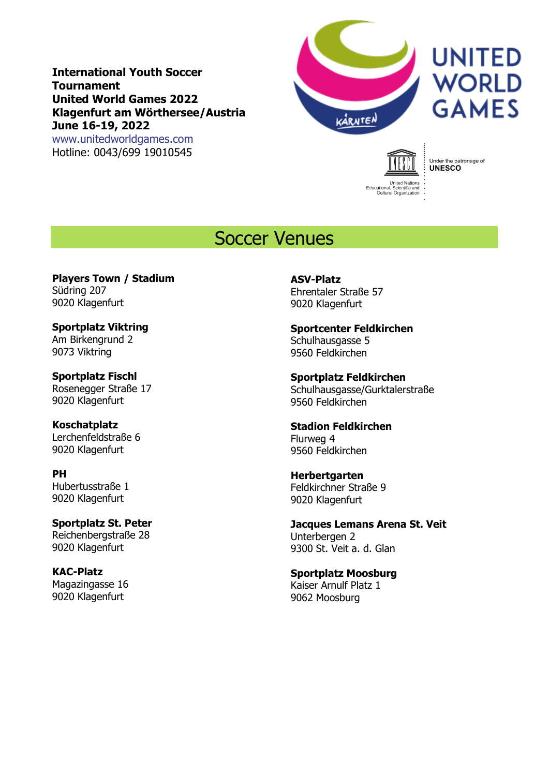**International Youth Soccer Tournament United World Games 2022 Klagenfurt am Wörthersee/Austria June 16-19, 2022** [www.unitedworldgames.com](http://www.unitedworldgames.com/)

Hotline: 0043/699 19010545



# **UNITED WORLD GAMES**



Under the patronage of<br>**UNESCO** 

# Soccer Venues

**Players Town / Stadium** Südring 207 9020 Klagenfurt

**Sportplatz Viktring** Am Birkengrund 2 9073 Viktring

**Sportplatz Fischl** Rosenegger Straße 17 9020 Klagenfurt

**Koschatplatz** Lerchenfeldstraße 6 9020 Klagenfurt

**PH** Hubertusstraße 1 9020 Klagenfurt

**Sportplatz St. Peter** Reichenbergstraße 28 9020 Klagenfurt

**KAC-Platz** Magazingasse 16 9020 Klagenfurt

**ASV-Platz** Ehrentaler Straße 57 9020 Klagenfurt

**Sportcenter Feldkirchen** Schulhausgasse 5 9560 Feldkirchen

**Sportplatz Feldkirchen** Schulhausgasse/Gurktalerstraße 9560 Feldkirchen

**Stadion Feldkirchen** Flurweg 4 9560 Feldkirchen

**Herbertgarten** Feldkirchner Straße 9 9020 Klagenfurt

**Jacques Lemans Arena St. Veit** Unterbergen 2 9300 St. Veit a. d. Glan

**Sportplatz Moosburg** Kaiser Arnulf Platz 1 9062 Moosburg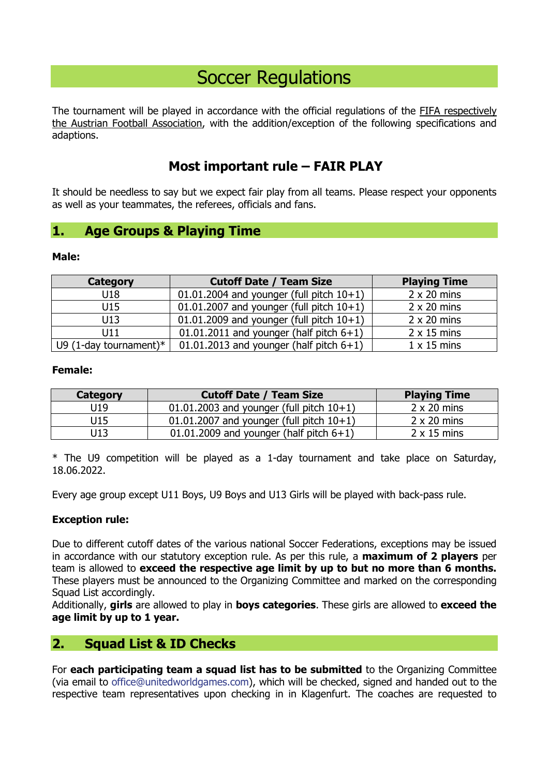# Soccer Regulations

The tournament will be played in accordance with the official regulations of the FIFA respectively the Austrian Football Association, with the addition/exception of the following specifications and adaptions.

# **Most important rule – FAIR PLAY**

It should be needless to say but we expect fair play from all teams. Please respect your opponents as well as your teammates, the referees, officials and fans.

# **1. Age Groups & Playing Time**

#### **Male:**

| <b>Category</b>           | <b>Cutoff Date / Team Size</b>              | <b>Playing Time</b> |
|---------------------------|---------------------------------------------|---------------------|
| U18                       | 01.01.2004 and younger (full pitch $10+1$ ) | $2 \times 20$ mins  |
| U15                       | 01.01.2007 and younger (full pitch $10+1$ ) | $2 \times 20$ mins  |
| U13                       | 01.01.2009 and younger (full pitch $10+1$ ) | $2 \times 20$ mins  |
| U11                       | 01.01.2011 and younger (half pitch $6+1$ )  | $2 \times 15$ mins  |
| U9 (1-day tournament) $*$ | 01.01.2013 and younger (half pitch $6+1$ )  | $1 \times 15$ mins  |

#### **Female:**

| Category | <b>Cutoff Date / Team Size</b>                | <b>Playing Time</b> |
|----------|-----------------------------------------------|---------------------|
| U19      | $01.01.2003$ and younger (full pitch $10+1$ ) | $2 \times 20$ mins  |
| U15      | 01.01.2007 and younger (full pitch $10+1$ )   | $2 \times 20$ mins  |
| U13      | 01.01.2009 and younger (half pitch $6+1$ )    | $2 \times 15$ mins  |

\* The U9 competition will be played as a 1-day tournament and take place on Saturday, 18.06.2022.

Every age group except U11 Boys, U9 Boys and U13 Girls will be played with back-pass rule.

#### **Exception rule:**

Due to different cutoff dates of the various national Soccer Federations, exceptions may be issued in accordance with our statutory exception rule. As per this rule, a **maximum of 2 players** per team is allowed to **exceed the respective age limit by up to but no more than 6 months.** These players must be announced to the Organizing Committee and marked on the corresponding Squad List accordingly.

Additionally, **girls** are allowed to play in **boys categories**. These girls are allowed to **exceed the age limit by up to 1 year.**

# **2. Squad List & ID Checks**

For **each participating team a squad list has to be submitted** to the Organizing Committee (via email to [office@unitedworldgames.com\)](mailto:office@unitedworldgames.com), which will be checked, signed and handed out to the respective team representatives upon checking in in Klagenfurt. The coaches are requested to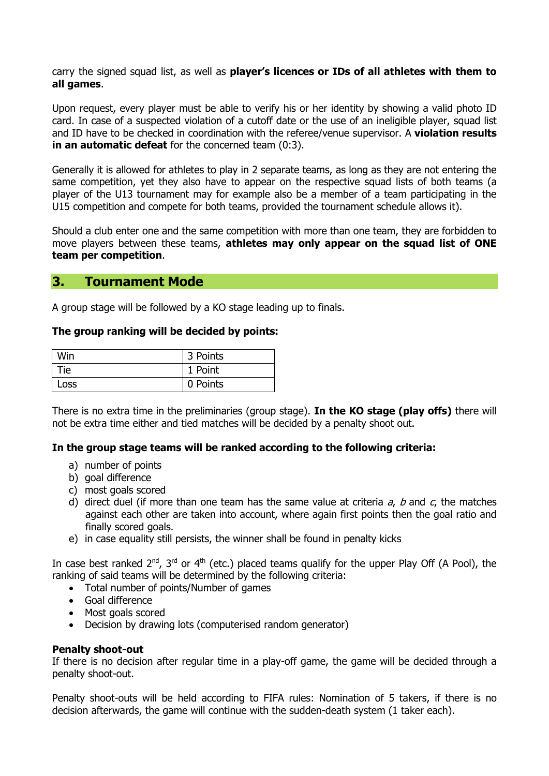carry the signed squad list, as well as **player's licences or IDs of all athletes with them to all games**.

Upon request, every player must be able to verify his or her identity by showing a valid photo ID card. In case of a suspected violation of a cutoff date or the use of an ineligible player, squad list and ID have to be checked in coordination with the referee/venue supervisor. A **violation results in an automatic defeat** for the concerned team (0:3).

Generally it is allowed for athletes to play in 2 separate teams, as long as they are not entering the same competition, yet they also have to appear on the respective squad lists of both teams (a player of the U13 tournament may for example also be a member of a team participating in the U15 competition and compete for both teams, provided the tournament schedule allows it).

Should a club enter one and the same competition with more than one team, they are forbidden to move players between these teams, **athletes may only appear on the squad list of ONE team per competition**.

# **3. Tournament Mode**

A group stage will be followed by a KO stage leading up to finals.

#### **The group ranking will be decided by points:**

| <b>Win</b> | 3 Points |
|------------|----------|
| Гiе        | 1 Point  |
| _OSS       | 0 Points |

There is no extra time in the preliminaries (group stage). **In the KO stage (play offs)** there will not be extra time either and tied matches will be decided by a penalty shoot out.

#### **In the group stage teams will be ranked according to the following criteria:**

- a) number of points
- b) goal difference
- c) most goals scored
- d) direct duel (if more than one team has the same value at criteria  $a$ ,  $b$  and  $c$ , the matches against each other are taken into account, where again first points then the goal ratio and finally scored goals.
- e) in case equality still persists, the winner shall be found in penalty kicks

In case best ranked  $2^{nd}$ ,  $3^{rd}$  or  $4^{th}$  (etc.) placed teams qualify for the upper Play Off (A Pool), the ranking of said teams will be determined by the following criteria:

- Total number of points/Number of games
- Goal difference
- Most goals scored
- Decision by drawing lots [\(computerised](http://de.pons.com/%C3%BCbersetzung/englisch-deutsch/computerised) random generator)

#### **Penalty shoot-out**

If there is no decision after regular time in a play-off game, the game will be decided through a penalty shoot-out.

Penalty shoot-outs will be held according to FIFA rules: Nomination of 5 takers, if there is no decision afterwards, the game will continue with the sudden-death system (1 taker each).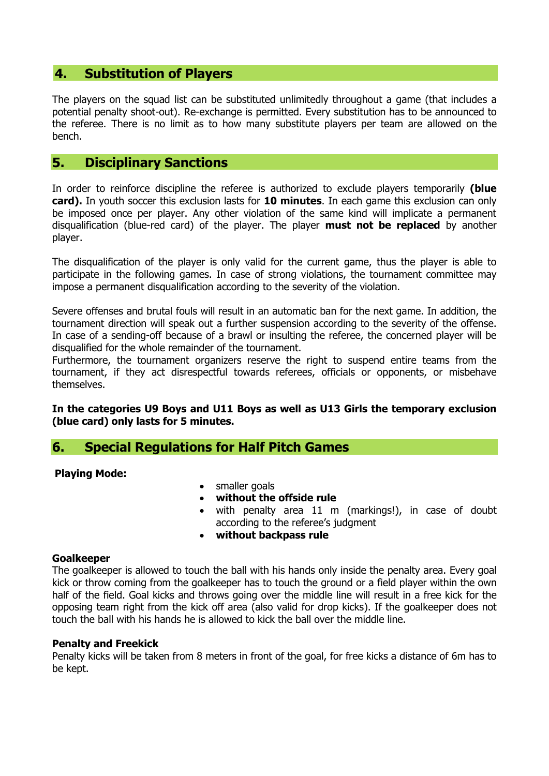# **4. Substitution of Players**

The players on the squad list can be substituted unlimitedly throughout a game (that includes a potential penalty shoot-out). Re-exchange is permitted. Every substitution has to be announced to the referee. There is no limit as to how many substitute players per team are allowed on the bench.

# **5. Disciplinary Sanctions**

In order to reinforce discipline the referee is authorized to exclude players temporarily **(blue card).** In youth soccer this exclusion lasts for **10 minutes**. In each game this exclusion can only be imposed once per player. Any other violation of the same kind will implicate a permanent disqualification (blue-red card) of the player. The player **must not be replaced** by another player.

The disqualification of the player is only valid for the current game, thus the player is able to participate in the following games. In case of strong violations, the tournament committee may impose a permanent disqualification according to the severity of the violation.

Severe offenses and brutal fouls will result in an automatic ban for the next game. In addition, the tournament direction will speak out a further suspension according to the severity of the offense. In case of a sending-off because of a brawl or insulting the referee, the concerned player will be disqualified for the whole remainder of the tournament.

Furthermore, the tournament organizers reserve the right to suspend entire teams from the tournament, if they act disrespectful towards referees, officials or opponents, or misbehave themselves.

#### **In the categories U9 Boys and U11 Boys as well as U13 Girls the temporary exclusion (blue card) only lasts for 5 minutes.**

# **6. Special Regulations for Half Pitch Games**

#### **Playing Mode:**

- smaller goals
- **without the offside rule**
- with penalty area 11 m (markings!), in case of doubt according to the referee's judgment
- **without backpass rule**

#### **Goalkeeper**

The goalkeeper is allowed to touch the ball with his hands only inside the penalty area. Every goal kick or throw coming from the goalkeeper has to touch the ground or a field player within the own half of the field. Goal kicks and throws going over the middle line will result in a free kick for the opposing team right from the kick off area (also valid for drop kicks). If the goalkeeper does not touch the ball with his hands he is allowed to kick the ball over the middle line.

#### **Penalty and Freekick**

Penalty kicks will be taken from 8 meters in front of the goal, for free kicks a distance of 6m has to be kept.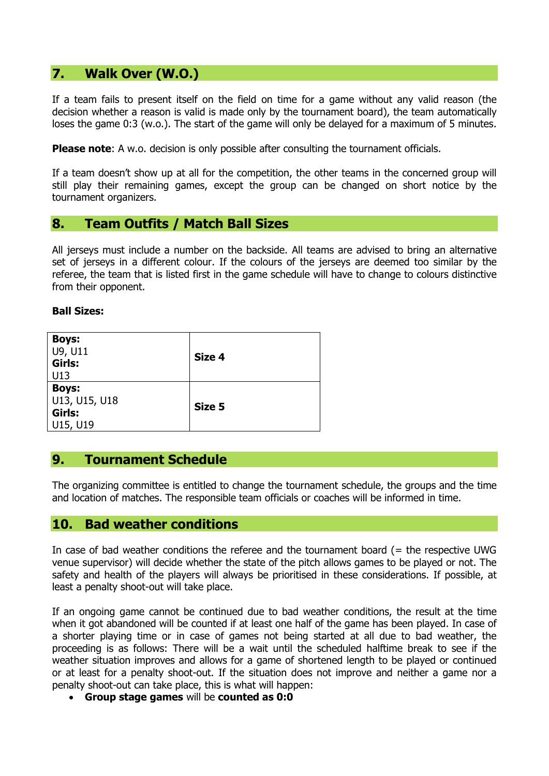# **7. Walk Over (W.O.)**

If a team fails to present itself on the field on time for a game without any valid reason (the decision whether a reason is valid is made only by the tournament board), the team automatically loses the game 0:3 (w.o.). The start of the game will only be delayed for a maximum of 5 minutes.

**Please note:** A w.o. decision is only possible after consulting the tournament officials.

If [a](http://de.pons.com/%C3%BCbersetzung/englisch-deutsch/a) [team](http://de.pons.com/%C3%BCbersetzung/englisch-deutsch/team) doesn't show up at all for the competition, [the](http://de.pons.com/%C3%BCbersetzung/englisch-deutsch/the) other [teams](http://de.pons.com/%C3%BCbersetzung/englisch-deutsch/teams) [in](http://de.pons.com/%C3%BCbersetzung/englisch-deutsch/in) the concerned [group](http://de.pons.com/%C3%BCbersetzung/englisch-deutsch/group) will still play their remaining games, except the [group](http://de.pons.com/%C3%BCbersetzung/englisch-deutsch/group) can be [changed](http://de.pons.com/%C3%BCbersetzung/englisch-deutsch/changed) on short notice [by](http://de.pons.com/%C3%BCbersetzung/englisch-deutsch/by) [the](http://de.pons.com/%C3%BCbersetzung/englisch-deutsch/the) [tournament](http://de.pons.com/%C3%BCbersetzung/englisch-deutsch/tournament) organizers.

# **8. Team Outfits / Match Ball Sizes**

All jerseys must include a number on the backside. All teams are advised to bring an alternative set of jerseys in a different colour. If the colours of the jerseys are deemed too similar by the referee, the team that is listed first in the game schedule will have to change to colours distinctive from their opponent.

#### **Ball Sizes:**

| <b>Boys:</b><br>U9, U11<br>Girls:<br>U13            | Size 4 |
|-----------------------------------------------------|--------|
| <b>Boys:</b><br>U13, U15, U18<br>Girls:<br>U15, U19 | Size 5 |

# **9. Tournament Schedule**

The organizing committee is entitled to change the tournament schedule, the groups and the time and location of matches. The responsible team officials or coaches will be informed in time.

#### **10. Bad weather conditions**

In case of bad weather conditions the referee and the tournament board (= the respective UWG venue supervisor) will decide whether the state of the pitch allows games to be played or not. The safety and health of the players will always be prioritised in these considerations. If possible, at least a penalty shoot-out will take place.

If an ongoing game cannot be continued due to bad weather conditions, the result at the time when it got abandoned will be counted if at least one half of the game has been played. In case of a shorter playing time or in case of games not being started at all due to bad weather, the proceeding is as follows: There will be a wait until the scheduled halftime break to see if the weather situation improves and allows for a game of shortened length to be played or continued or at least for a penalty shoot-out. If the situation does not improve and neither a game nor a penalty shoot-out can take place, this is what will happen:

• **Group stage games** will be **counted as 0:0**